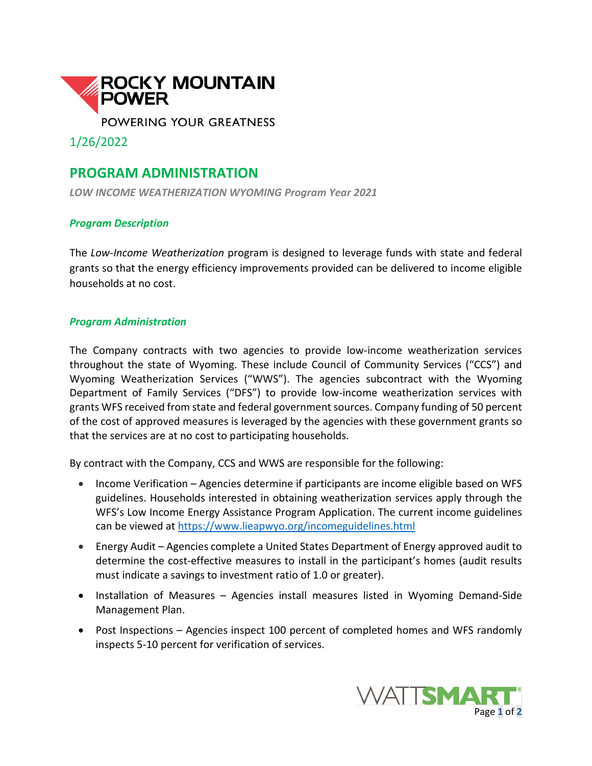

1/26/2022

## **PROGRAM ADMINISTRATION**

*LOW INCOME WEATHERIZATION WYOMING Program Year 2021*

## *Program Description*

The *Low-Income Weatherization* program is designed to leverage funds with state and federal grants so that the energy efficiency improvements provided can be delivered to income eligible households at no cost.

## *Program Administration*

The Company contracts with two agencies to provide low-income weatherization services throughout the state of Wyoming. These include Council of Community Services ("CCS") and Wyoming Weatherization Services ("WWS"). The agencies subcontract with the Wyoming Department of Family Services ("DFS") to provide low-income weatherization services with grants WFS received from state and federal government sources. Company funding of 50 percent of the cost of approved measures is leveraged by the agencies with these government grants so that the services are at no cost to participating households.

By contract with the Company, CCS and WWS are responsible for the following:

- Income Verification Agencies determine if participants are income eligible based on WFS guidelines. Households interested in obtaining weatherization services apply through the WFS's Low Income Energy Assistance Program Application. The current income guidelines can be viewed at<https://www.lieapwyo.org/incomeguidelines.html>
- Energy Audit Agencies complete a United States Department of Energy approved audit to determine the cost-effective measures to install in the participant's homes (audit results must indicate a savings to investment ratio of 1.0 or greater).
- Installation of Measures Agencies install measures listed in Wyoming Demand-Side Management Plan.
- Post Inspections Agencies inspect 100 percent of completed homes and WFS randomly inspects 5-10 percent for verification of services.